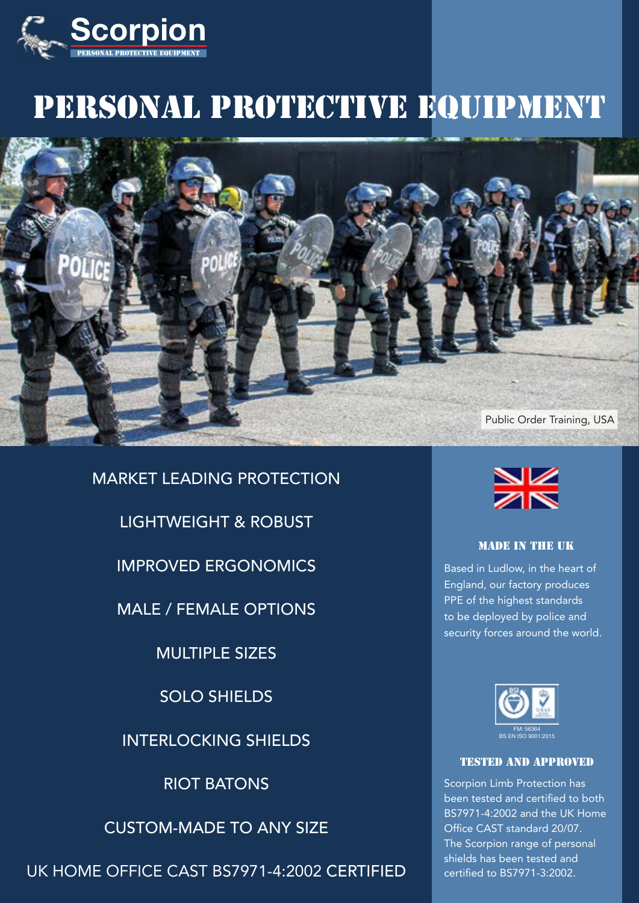

# PERSONAL PROTECTIVE EQUIPMENT



MARKET LEADING PROTECTION

LIGHTWEIGHT & ROBUST

IMPROVED ERGONOMICS

MALE / FEMALE OPTIONS

MULTIPLE SIZES

SOLO SHIELDS

INTERLOCKING SHIELDS

RIOT BATONS

CUSTOM-MADE TO ANY SIZE

UK HOME OFFICE CAST BS7971-4:2002 CERTIFIED



## MADE IN THE UK

Based in Ludlow, in the heart of England, our factory produces PPE of the highest standards to be deployed by police and security forces around the world.



## TESTED AND APPROVED

Scorpion Limb Protection has been tested and certified to both BS7971-4:2002 and the UK Home Office CAST standard 20/07. The Scorpion range of personal shields has been tested and certified to BS7971-3:2002.